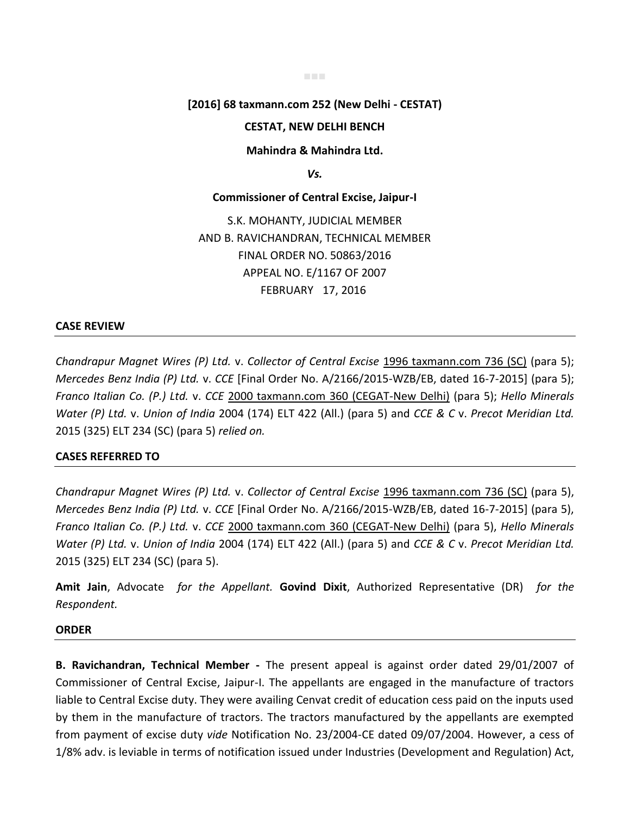# **[2016] 68 taxmann.com 252 (New Delhi - CESTAT)**

■■■

## **CESTAT, NEW DELHI BENCH**

**Mahindra & Mahindra Ltd.** 

*Vs.* 

**Commissioner of Central Excise, Jaipur-I** 

S.K. MOHANTY, JUDICIAL MEMBER AND B. RAVICHANDRAN, TECHNICAL MEMBER FINAL ORDER NO. 50863/2016 APPEAL NO. E/1167 OF 2007 FEBRUARY 17, 2016

### **CASE REVIEW**

*Chandrapur Magnet Wires (P) Ltd.* v. *Collector of Central Excise* 1996 taxmann.com 736 (SC) (para 5); *Mercedes Benz India (P) Ltd.* v. *CCE* [Final Order No. A/2166/2015-WZB/EB, dated 16-7-2015] (para 5); *Franco Italian Co. (P.) Ltd.* v. *CCE* 2000 taxmann.com 360 (CEGAT-New Delhi) (para 5); *Hello Minerals Water (P) Ltd.* v. *Union of India* 2004 (174) ELT 422 (All.) (para 5) and *CCE & C* v. *Precot Meridian Ltd.* 2015 (325) ELT 234 (SC) (para 5) *relied on.*

### **CASES REFERRED TO**

*Chandrapur Magnet Wires (P) Ltd.* v. *Collector of Central Excise* 1996 taxmann.com 736 (SC) (para 5), *Mercedes Benz India (P) Ltd.* v. *CCE* [Final Order No. A/2166/2015-WZB/EB, dated 16-7-2015] (para 5), *Franco Italian Co. (P.) Ltd.* v. *CCE* 2000 taxmann.com 360 (CEGAT-New Delhi) (para 5), *Hello Minerals Water (P) Ltd.* v. *Union of India* 2004 (174) ELT 422 (All.) (para 5) and *CCE & C* v. *Precot Meridian Ltd.* 2015 (325) ELT 234 (SC) (para 5).

**Amit Jain**, Advocate *for the Appellant.* **Govind Dixit**, Authorized Representative (DR) *for the Respondent.*

#### **ORDER**

**B. Ravichandran, Technical Member -** The present appeal is against order dated 29/01/2007 of Commissioner of Central Excise, Jaipur-I. The appellants are engaged in the manufacture of tractors liable to Central Excise duty. They were availing Cenvat credit of education cess paid on the inputs used by them in the manufacture of tractors. The tractors manufactured by the appellants are exempted from payment of excise duty *vide* Notification No. 23/2004-CE dated 09/07/2004. However, a cess of 1/8% adv. is leviable in terms of notification issued under Industries (Development and Regulation) Act,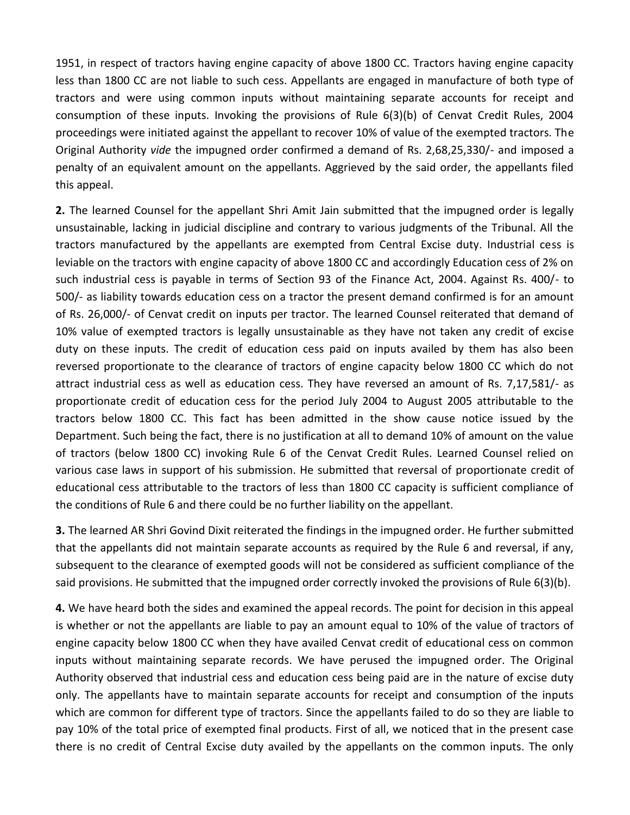1951, in respect of tractors having engine capacity of above 1800 CC. Tractors having engine capacity less than 1800 CC are not liable to such cess. Appellants are engaged in manufacture of both type of tractors and were using common inputs without maintaining separate accounts for receipt and consumption of these inputs. Invoking the provisions of Rule 6(3)(b) of Cenvat Credit Rules, 2004 proceedings were initiated against the appellant to recover 10% of value of the exempted tractors. The Original Authority *vide* the impugned order confirmed a demand of Rs. 2,68,25,330/- and imposed a penalty of an equivalent amount on the appellants. Aggrieved by the said order, the appellants filed this appeal.

**2.** The learned Counsel for the appellant Shri Amit Jain submitted that the impugned order is legally unsustainable, lacking in judicial discipline and contrary to various judgments of the Tribunal. All the tractors manufactured by the appellants are exempted from Central Excise duty. Industrial cess is leviable on the tractors with engine capacity of above 1800 CC and accordingly Education cess of 2% on such industrial cess is payable in terms of Section 93 of the Finance Act, 2004. Against Rs. 400/- to 500/- as liability towards education cess on a tractor the present demand confirmed is for an amount of Rs. 26,000/- of Cenvat credit on inputs per tractor. The learned Counsel reiterated that demand of 10% value of exempted tractors is legally unsustainable as they have not taken any credit of excise duty on these inputs. The credit of education cess paid on inputs availed by them has also been reversed proportionate to the clearance of tractors of engine capacity below 1800 CC which do not attract industrial cess as well as education cess. They have reversed an amount of Rs. 7,17,581/- as proportionate credit of education cess for the period July 2004 to August 2005 attributable to the tractors below 1800 CC. This fact has been admitted in the show cause notice issued by the Department. Such being the fact, there is no justification at all to demand 10% of amount on the value of tractors (below 1800 CC) invoking Rule 6 of the Cenvat Credit Rules. Learned Counsel relied on various case laws in support of his submission. He submitted that reversal of proportionate credit of educational cess attributable to the tractors of less than 1800 CC capacity is sufficient compliance of the conditions of Rule 6 and there could be no further liability on the appellant.

**3.** The learned AR Shri Govind Dixit reiterated the findings in the impugned order. He further submitted that the appellants did not maintain separate accounts as required by the Rule 6 and reversal, if any, subsequent to the clearance of exempted goods will not be considered as sufficient compliance of the said provisions. He submitted that the impugned order correctly invoked the provisions of Rule 6(3)(b).

**4.** We have heard both the sides and examined the appeal records. The point for decision in this appeal is whether or not the appellants are liable to pay an amount equal to 10% of the value of tractors of engine capacity below 1800 CC when they have availed Cenvat credit of educational cess on common inputs without maintaining separate records. We have perused the impugned order. The Original Authority observed that industrial cess and education cess being paid are in the nature of excise duty only. The appellants have to maintain separate accounts for receipt and consumption of the inputs which are common for different type of tractors. Since the appellants failed to do so they are liable to pay 10% of the total price of exempted final products. First of all, we noticed that in the present case there is no credit of Central Excise duty availed by the appellants on the common inputs. The only